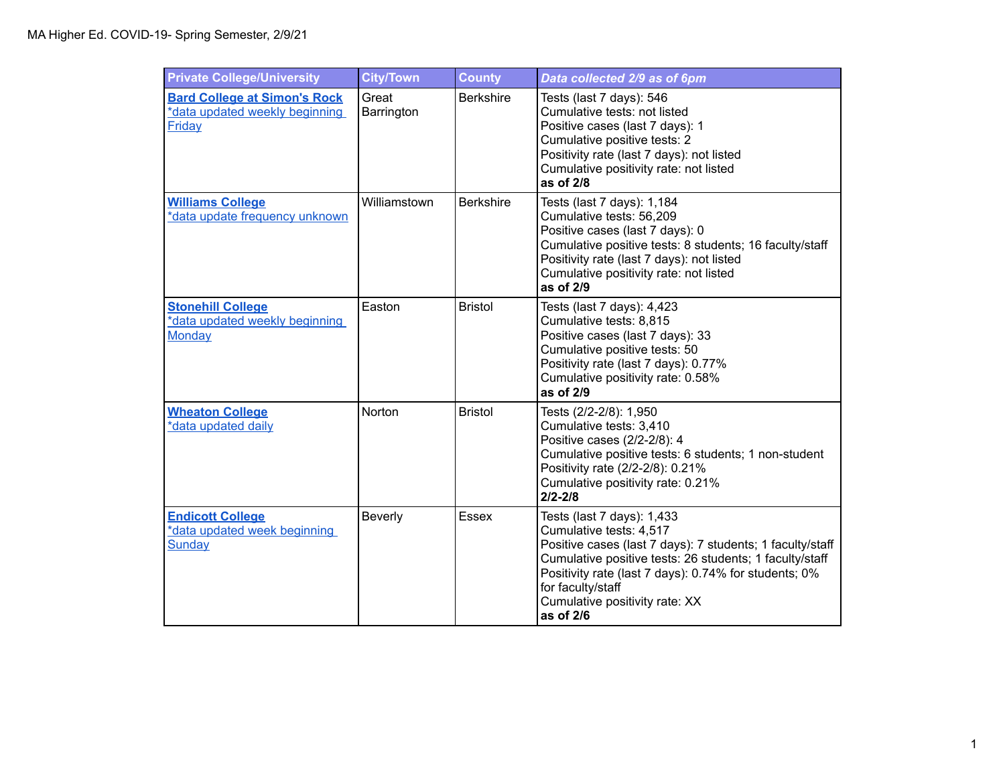| <b>Private College/University</b>                                               | <b>City/Town</b>    | <b>County</b>    | Data collected 2/9 as of 6pm                                                                                                                                                                                                                                                                               |
|---------------------------------------------------------------------------------|---------------------|------------------|------------------------------------------------------------------------------------------------------------------------------------------------------------------------------------------------------------------------------------------------------------------------------------------------------------|
| <b>Bard College at Simon's Rock</b><br>*data updated weekly beginning<br>Friday | Great<br>Barrington | <b>Berkshire</b> | Tests (last 7 days): 546<br>Cumulative tests: not listed<br>Positive cases (last 7 days): 1<br>Cumulative positive tests: 2<br>Positivity rate (last 7 days): not listed<br>Cumulative positivity rate: not listed<br>as of 2/8                                                                            |
| <b>Williams College</b><br>*data update frequency unknown                       | Williamstown        | <b>Berkshire</b> | Tests (last 7 days): 1,184<br>Cumulative tests: 56,209<br>Positive cases (last 7 days): 0<br>Cumulative positive tests: 8 students; 16 faculty/staff<br>Positivity rate (last 7 days): not listed<br>Cumulative positivity rate: not listed<br>as of 2/9                                                   |
| <b>Stonehill College</b><br>*data updated weekly beginning<br><b>Monday</b>     | Easton              | <b>Bristol</b>   | Tests (last 7 days): 4,423<br>Cumulative tests: 8,815<br>Positive cases (last 7 days): 33<br>Cumulative positive tests: 50<br>Positivity rate (last 7 days): 0.77%<br>Cumulative positivity rate: 0.58%<br>as of 2/9                                                                                       |
| <b>Wheaton College</b><br>*data updated daily                                   | Norton              | <b>Bristol</b>   | Tests (2/2-2/8): 1,950<br>Cumulative tests: 3,410<br>Positive cases (2/2-2/8): 4<br>Cumulative positive tests: 6 students; 1 non-student<br>Positivity rate (2/2-2/8): 0.21%<br>Cumulative positivity rate: 0.21%<br>$2/2 - 2/8$                                                                           |
| <b>Endicott College</b><br>*data updated week beginning<br>Sunday               | Beverly             | Essex            | Tests (last 7 days): 1,433<br>Cumulative tests: 4,517<br>Positive cases (last 7 days): 7 students; 1 faculty/staff<br>Cumulative positive tests: 26 students; 1 faculty/staff<br>Positivity rate (last 7 days): 0.74% for students; 0%<br>for faculty/staff<br>Cumulative positivity rate: XX<br>as of 2/6 |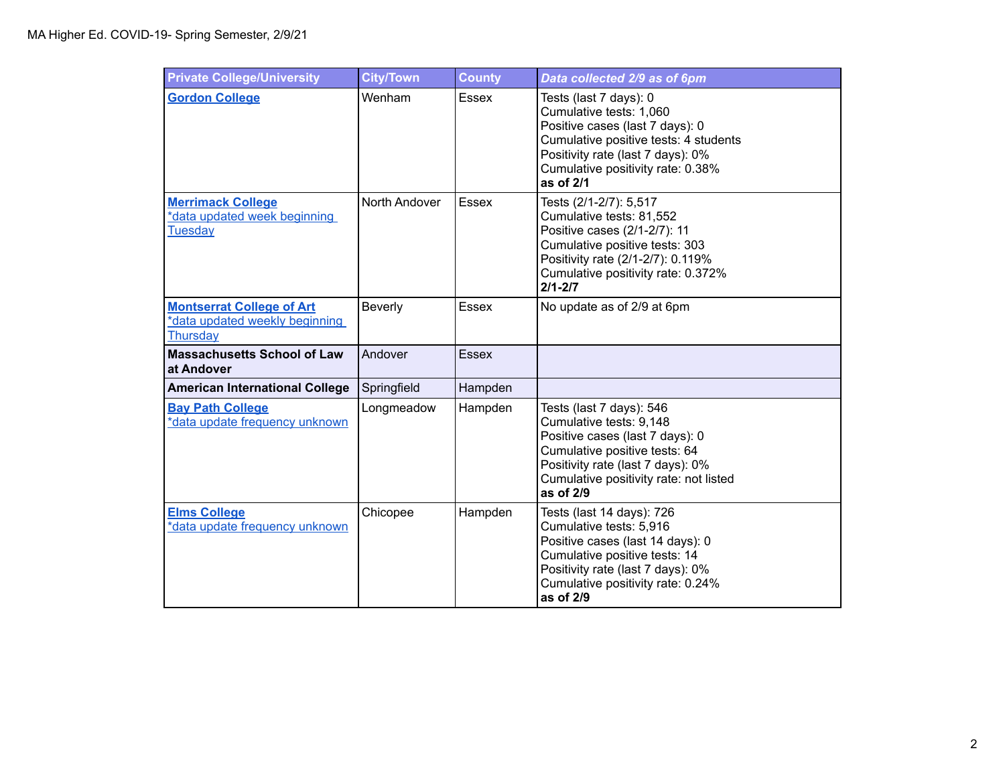| <b>Private College/University</b>                                              | <b>City/Town</b> | <b>County</b> | Data collected 2/9 as of 6pm                                                                                                                                                                                         |
|--------------------------------------------------------------------------------|------------------|---------------|----------------------------------------------------------------------------------------------------------------------------------------------------------------------------------------------------------------------|
| <b>Gordon College</b>                                                          | Wenham           | <b>Essex</b>  | Tests (last 7 days): 0<br>Cumulative tests: 1,060<br>Positive cases (last 7 days): 0<br>Cumulative positive tests: 4 students<br>Positivity rate (last 7 days): 0%<br>Cumulative positivity rate: 0.38%<br>as of 2/1 |
| <b>Merrimack College</b><br>*data updated week beginning<br><b>Tuesday</b>     | North Andover    | <b>Essex</b>  | Tests (2/1-2/7): 5,517<br>Cumulative tests: 81,552<br>Positive cases (2/1-2/7): 11<br>Cumulative positive tests: 303<br>Positivity rate (2/1-2/7): 0.119%<br>Cumulative positivity rate: 0.372%<br>$2/1 - 2/7$       |
| <b>Montserrat College of Art</b><br>*data updated weekly beginning<br>Thursday | Beverly          | <b>Essex</b>  | No update as of 2/9 at 6pm                                                                                                                                                                                           |
| <b>Massachusetts School of Law</b><br>at Andover                               | Andover          | <b>Essex</b>  |                                                                                                                                                                                                                      |
| <b>American International College</b>                                          | Springfield      | Hampden       |                                                                                                                                                                                                                      |
| <b>Bay Path College</b><br>*data update frequency unknown                      | Longmeadow       | Hampden       | Tests (last 7 days): 546<br>Cumulative tests: 9,148<br>Positive cases (last 7 days): 0<br>Cumulative positive tests: 64<br>Positivity rate (last 7 days): 0%<br>Cumulative positivity rate: not listed<br>as of 2/9  |
| <b>Elms College</b><br>*data update frequency unknown                          | Chicopee         | Hampden       | Tests (last 14 days): 726<br>Cumulative tests: 5,916<br>Positive cases (last 14 days): 0<br>Cumulative positive tests: 14<br>Positivity rate (last 7 days): 0%<br>Cumulative positivity rate: 0.24%<br>as of 2/9     |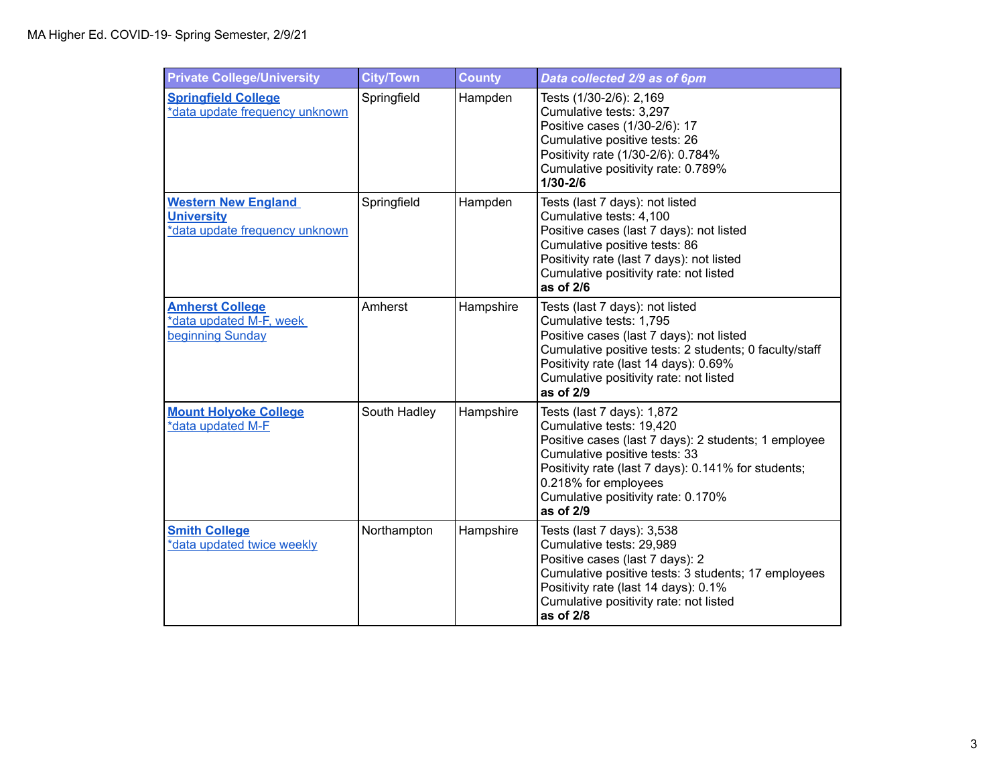| <b>Private College/University</b>                                                 | <b>City/Town</b> | <b>County</b> | Data collected 2/9 as of 6pm                                                                                                                                                                                                                                                      |
|-----------------------------------------------------------------------------------|------------------|---------------|-----------------------------------------------------------------------------------------------------------------------------------------------------------------------------------------------------------------------------------------------------------------------------------|
| <b>Springfield College</b><br>*data update frequency unknown                      | Springfield      | Hampden       | Tests (1/30-2/6): 2,169<br>Cumulative tests: 3,297<br>Positive cases (1/30-2/6): 17<br>Cumulative positive tests: 26<br>Positivity rate (1/30-2/6): 0.784%<br>Cumulative positivity rate: 0.789%<br>1/30-2/6                                                                      |
| <b>Western New England</b><br><b>University</b><br>*data update frequency unknown | Springfield      | Hampden       | Tests (last 7 days): not listed<br>Cumulative tests: 4,100<br>Positive cases (last 7 days): not listed<br>Cumulative positive tests: 86<br>Positivity rate (last 7 days): not listed<br>Cumulative positivity rate: not listed<br>as of 2/6                                       |
| <b>Amherst College</b><br>*data updated M-F, week<br>beginning Sunday             | Amherst          | Hampshire     | Tests (last 7 days): not listed<br>Cumulative tests: 1,795<br>Positive cases (last 7 days): not listed<br>Cumulative positive tests: 2 students; 0 faculty/staff<br>Positivity rate (last 14 days): 0.69%<br>Cumulative positivity rate: not listed<br>as of 2/9                  |
| <b>Mount Holyoke College</b><br>*data updated M-F                                 | South Hadley     | Hampshire     | Tests (last 7 days): 1,872<br>Cumulative tests: 19,420<br>Positive cases (last 7 days): 2 students; 1 employee<br>Cumulative positive tests: 33<br>Positivity rate (last 7 days): 0.141% for students;<br>0.218% for employees<br>Cumulative positivity rate: 0.170%<br>as of 2/9 |
| <b>Smith College</b><br>*data updated twice weekly                                | Northampton      | Hampshire     | Tests (last 7 days): 3,538<br>Cumulative tests: 29,989<br>Positive cases (last 7 days): 2<br>Cumulative positive tests: 3 students; 17 employees<br>Positivity rate (last 14 days): 0.1%<br>Cumulative positivity rate: not listed<br>as of 2/8                                   |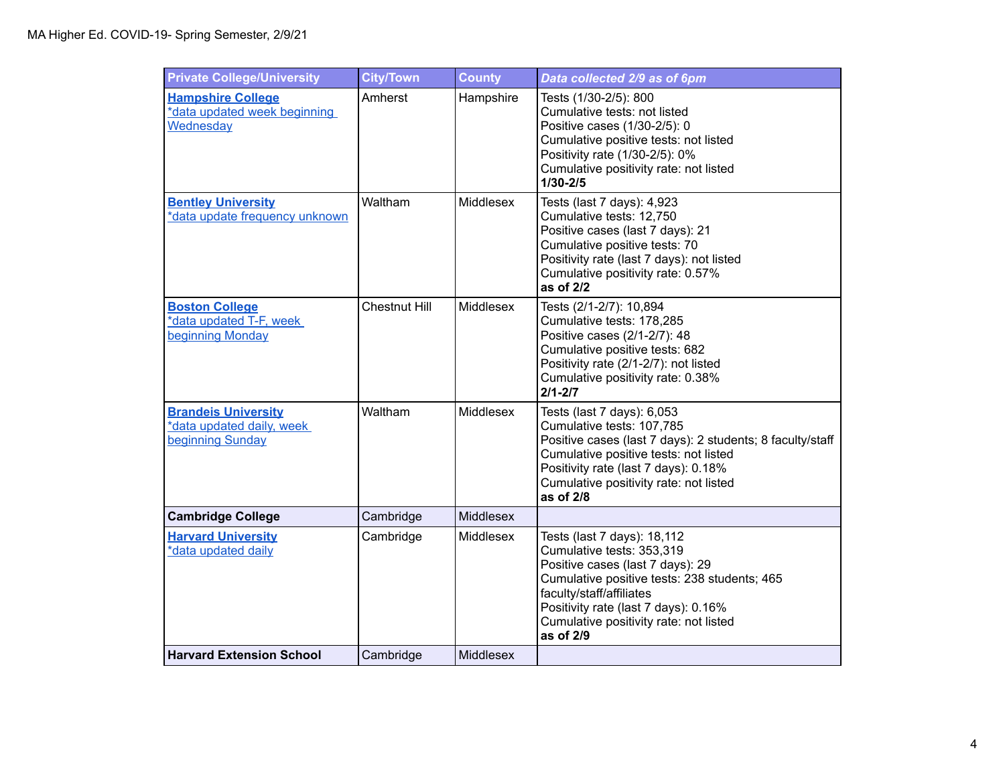| <b>Private College/University</b>                                           | <b>City/Town</b>     | <b>County</b> | Data collected 2/9 as of 6pm                                                                                                                                                                                                                                            |
|-----------------------------------------------------------------------------|----------------------|---------------|-------------------------------------------------------------------------------------------------------------------------------------------------------------------------------------------------------------------------------------------------------------------------|
| <b>Hampshire College</b><br>*data updated week beginning<br>Wednesday       | Amherst              | Hampshire     | Tests (1/30-2/5): 800<br>Cumulative tests: not listed<br>Positive cases (1/30-2/5): 0<br>Cumulative positive tests: not listed<br>Positivity rate (1/30-2/5): 0%<br>Cumulative positivity rate: not listed<br>1/30-2/5                                                  |
| <b>Bentley University</b><br>*data update frequency unknown                 | Waltham              | Middlesex     | Tests (last 7 days): 4,923<br>Cumulative tests: 12,750<br>Positive cases (last 7 days): 21<br>Cumulative positive tests: 70<br>Positivity rate (last 7 days): not listed<br>Cumulative positivity rate: 0.57%<br>as of 2/2                                              |
| <b>Boston College</b><br>*data updated T-F, week<br>beginning Monday        | <b>Chestnut Hill</b> | Middlesex     | Tests (2/1-2/7): 10,894<br>Cumulative tests: 178,285<br>Positive cases (2/1-2/7): 48<br>Cumulative positive tests: 682<br>Positivity rate (2/1-2/7): not listed<br>Cumulative positivity rate: 0.38%<br>$2/1 - 2/7$                                                     |
| <b>Brandeis University</b><br>*data updated daily, week<br>beginning Sunday | Waltham              | Middlesex     | Tests (last 7 days): 6,053<br>Cumulative tests: 107,785<br>Positive cases (last 7 days): 2 students; 8 faculty/staff<br>Cumulative positive tests: not listed<br>Positivity rate (last 7 days): 0.18%<br>Cumulative positivity rate: not listed<br>as of 2/8            |
| <b>Cambridge College</b>                                                    | Cambridge            | Middlesex     |                                                                                                                                                                                                                                                                         |
| <b>Harvard University</b><br>*data updated daily                            | Cambridge            | Middlesex     | Tests (last 7 days): 18,112<br>Cumulative tests: 353,319<br>Positive cases (last 7 days): 29<br>Cumulative positive tests: 238 students; 465<br>faculty/staff/affiliates<br>Positivity rate (last 7 days): 0.16%<br>Cumulative positivity rate: not listed<br>as of 2/9 |
| <b>Harvard Extension School</b>                                             | Cambridge            | Middlesex     |                                                                                                                                                                                                                                                                         |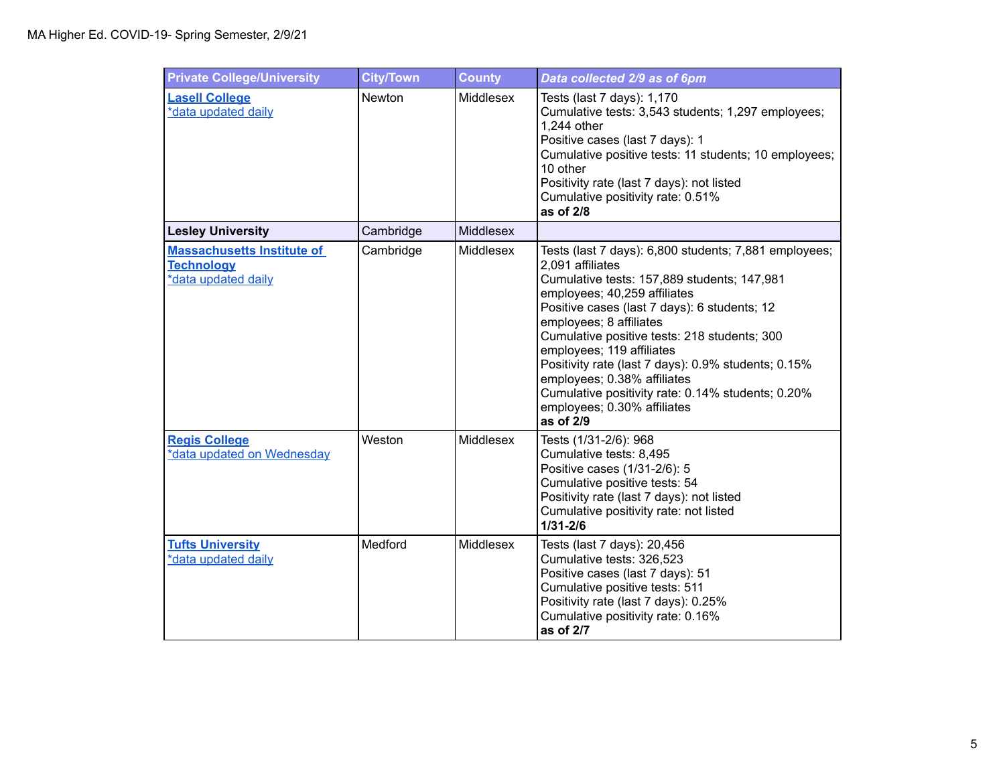| <b>Private College/University</b>                                             | <b>City/Town</b> | <b>County</b>    | Data collected 2/9 as of 6pm                                                                                                                                                                                                                                                                                                                                                                                                                                                                            |
|-------------------------------------------------------------------------------|------------------|------------------|---------------------------------------------------------------------------------------------------------------------------------------------------------------------------------------------------------------------------------------------------------------------------------------------------------------------------------------------------------------------------------------------------------------------------------------------------------------------------------------------------------|
| <b>Lasell College</b><br>*data updated daily                                  | Newton           | <b>Middlesex</b> | Tests (last 7 days): 1,170<br>Cumulative tests: 3,543 students; 1,297 employees;<br>1,244 other<br>Positive cases (last 7 days): 1<br>Cumulative positive tests: 11 students; 10 employees;<br>10 other<br>Positivity rate (last 7 days): not listed<br>Cumulative positivity rate: 0.51%<br>as of 2/8                                                                                                                                                                                                  |
| <b>Lesley University</b>                                                      | Cambridge        | Middlesex        |                                                                                                                                                                                                                                                                                                                                                                                                                                                                                                         |
| <b>Massachusetts Institute of</b><br><b>Technology</b><br>*data updated daily | Cambridge        | Middlesex        | Tests (last 7 days): 6,800 students; 7,881 employees;<br>2,091 affiliates<br>Cumulative tests: 157,889 students; 147,981<br>employees; 40,259 affiliates<br>Positive cases (last 7 days): 6 students; 12<br>employees; 8 affiliates<br>Cumulative positive tests: 218 students; 300<br>employees; 119 affiliates<br>Positivity rate (last 7 days): 0.9% students; 0.15%<br>employees; 0.38% affiliates<br>Cumulative positivity rate: 0.14% students; 0.20%<br>employees; 0.30% affiliates<br>as of 2/9 |
| <b>Regis College</b><br>*data updated on Wednesday                            | Weston           | Middlesex        | Tests (1/31-2/6): 968<br>Cumulative tests: 8,495<br>Positive cases (1/31-2/6): 5<br>Cumulative positive tests: 54<br>Positivity rate (last 7 days): not listed<br>Cumulative positivity rate: not listed<br>$1/31 - 2/6$                                                                                                                                                                                                                                                                                |
| <b>Tufts University</b><br>*data updated daily                                | Medford          | Middlesex        | Tests (last 7 days): 20,456<br>Cumulative tests: 326,523<br>Positive cases (last 7 days): 51<br>Cumulative positive tests: 511<br>Positivity rate (last 7 days): 0.25%<br>Cumulative positivity rate: 0.16%<br>as of 2/7                                                                                                                                                                                                                                                                                |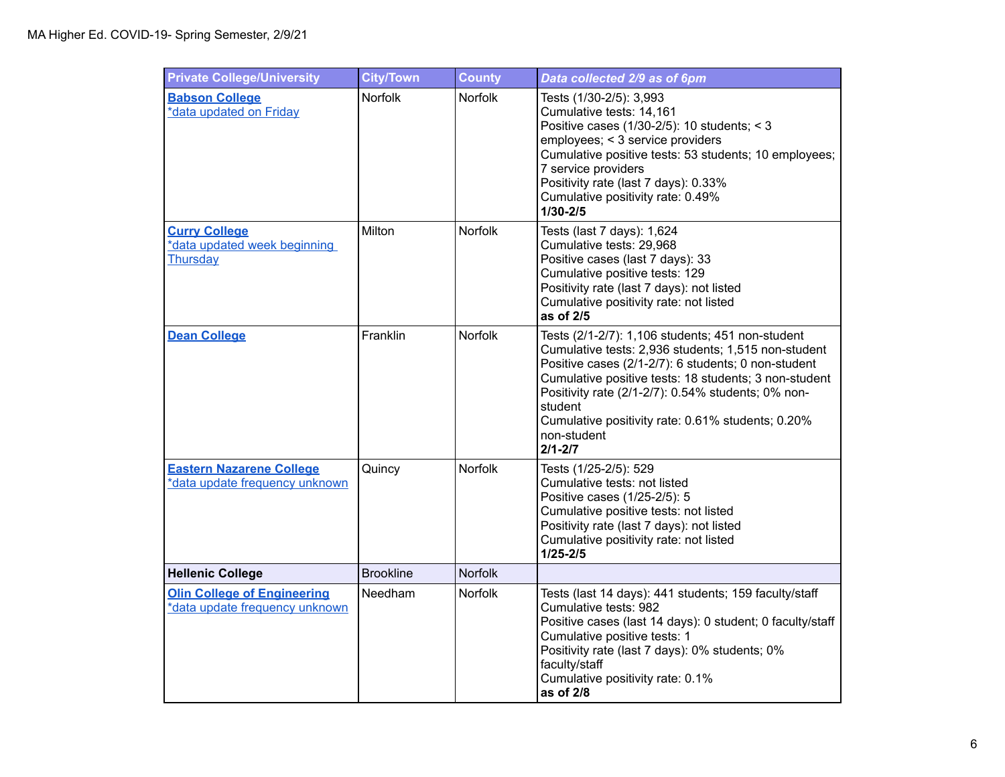| <b>Private College/University</b>                                    | <b>City/Town</b> | <b>County</b>  | Data collected 2/9 as of 6pm                                                                                                                                                                                                                                                                                                                                                |
|----------------------------------------------------------------------|------------------|----------------|-----------------------------------------------------------------------------------------------------------------------------------------------------------------------------------------------------------------------------------------------------------------------------------------------------------------------------------------------------------------------------|
| <b>Babson College</b><br>*data updated on Friday                     | Norfolk          | Norfolk        | Tests (1/30-2/5): 3,993<br>Cumulative tests: 14,161<br>Positive cases (1/30-2/5): 10 students; < 3<br>employees; < 3 service providers<br>Cumulative positive tests: 53 students; 10 employees;<br>7 service providers<br>Positivity rate (last 7 days): 0.33%<br>Cumulative positivity rate: 0.49%<br>$1/30 - 2/5$                                                         |
| <b>Curry College</b><br>*data updated week beginning<br>Thursday     | Milton           | <b>Norfolk</b> | Tests (last 7 days): 1,624<br>Cumulative tests: 29,968<br>Positive cases (last 7 days): 33<br>Cumulative positive tests: 129<br>Positivity rate (last 7 days): not listed<br>Cumulative positivity rate: not listed<br>as of 2/5                                                                                                                                            |
| <b>Dean College</b>                                                  | Franklin         | Norfolk        | Tests (2/1-2/7): 1,106 students; 451 non-student<br>Cumulative tests: 2,936 students; 1,515 non-student<br>Positive cases (2/1-2/7): 6 students; 0 non-student<br>Cumulative positive tests: 18 students; 3 non-student<br>Positivity rate (2/1-2/7): 0.54% students; 0% non-<br>student<br>Cumulative positivity rate: 0.61% students; 0.20%<br>non-student<br>$2/1 - 2/7$ |
| <b>Eastern Nazarene College</b><br>*data update frequency unknown    | Quincy           | Norfolk        | Tests (1/25-2/5): 529<br>Cumulative tests: not listed<br>Positive cases (1/25-2/5): 5<br>Cumulative positive tests: not listed<br>Positivity rate (last 7 days): not listed<br>Cumulative positivity rate: not listed<br>$1/25 - 2/5$                                                                                                                                       |
| <b>Hellenic College</b>                                              | <b>Brookline</b> | <b>Norfolk</b> |                                                                                                                                                                                                                                                                                                                                                                             |
| <b>Olin College of Engineering</b><br>*data update frequency unknown | Needham          | <b>Norfolk</b> | Tests (last 14 days): 441 students; 159 faculty/staff<br>Cumulative tests: 982<br>Positive cases (last 14 days): 0 student; 0 faculty/staff<br>Cumulative positive tests: 1<br>Positivity rate (last 7 days): 0% students; 0%<br>faculty/staff<br>Cumulative positivity rate: 0.1%<br>as of 2/8                                                                             |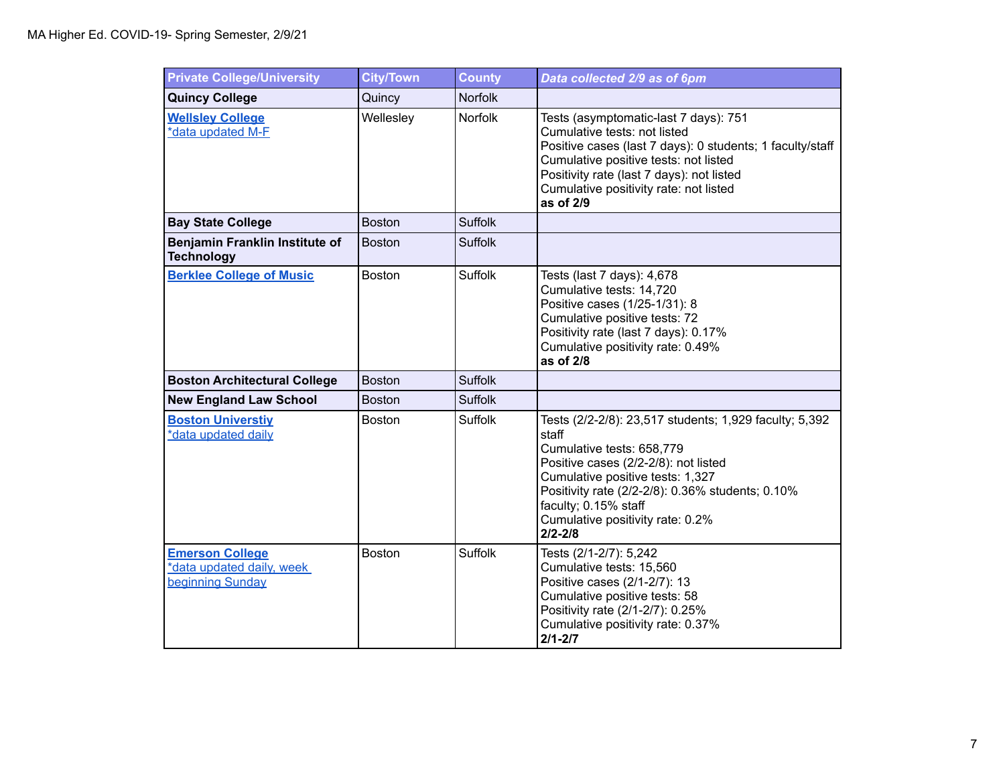| <b>Private College/University</b>                                       | <b>City/Town</b> | <b>County</b>  | Data collected 2/9 as of 6pm                                                                                                                                                                                                                                                                            |
|-------------------------------------------------------------------------|------------------|----------------|---------------------------------------------------------------------------------------------------------------------------------------------------------------------------------------------------------------------------------------------------------------------------------------------------------|
| <b>Quincy College</b>                                                   | Quincy           | <b>Norfolk</b> |                                                                                                                                                                                                                                                                                                         |
| <b>Wellsley College</b><br>*data updated M-F                            | Wellesley        | Norfolk        | Tests (asymptomatic-last 7 days): 751<br>Cumulative tests: not listed<br>Positive cases (last 7 days): 0 students; 1 faculty/staff<br>Cumulative positive tests: not listed<br>Positivity rate (last 7 days): not listed<br>Cumulative positivity rate: not listed<br>as of 2/9                         |
| <b>Bay State College</b>                                                | <b>Boston</b>    | <b>Suffolk</b> |                                                                                                                                                                                                                                                                                                         |
| Benjamin Franklin Institute of<br><b>Technology</b>                     | <b>Boston</b>    | <b>Suffolk</b> |                                                                                                                                                                                                                                                                                                         |
| <b>Berklee College of Music</b>                                         | <b>Boston</b>    | <b>Suffolk</b> | Tests (last 7 days): 4,678<br>Cumulative tests: 14,720<br>Positive cases (1/25-1/31): 8<br>Cumulative positive tests: 72<br>Positivity rate (last 7 days): 0.17%<br>Cumulative positivity rate: 0.49%<br>as of 2/8                                                                                      |
| <b>Boston Architectural College</b>                                     | <b>Boston</b>    | <b>Suffolk</b> |                                                                                                                                                                                                                                                                                                         |
| <b>New England Law School</b>                                           | <b>Boston</b>    | <b>Suffolk</b> |                                                                                                                                                                                                                                                                                                         |
| <b>Boston Universtiy</b><br>*data updated daily                         | <b>Boston</b>    | Suffolk        | Tests (2/2-2/8): 23,517 students; 1,929 faculty; 5,392<br>staff<br>Cumulative tests: 658,779<br>Positive cases (2/2-2/8): not listed<br>Cumulative positive tests: 1,327<br>Positivity rate (2/2-2/8): 0.36% students; 0.10%<br>faculty; 0.15% staff<br>Cumulative positivity rate: 0.2%<br>$2/2 - 2/8$ |
| <b>Emerson College</b><br>*data updated daily, week<br>beginning Sunday | Boston           | <b>Suffolk</b> | Tests (2/1-2/7): 5,242<br>Cumulative tests: 15,560<br>Positive cases (2/1-2/7): 13<br>Cumulative positive tests: 58<br>Positivity rate (2/1-2/7): 0.25%<br>Cumulative positivity rate: 0.37%<br>$2/1 - 2/7$                                                                                             |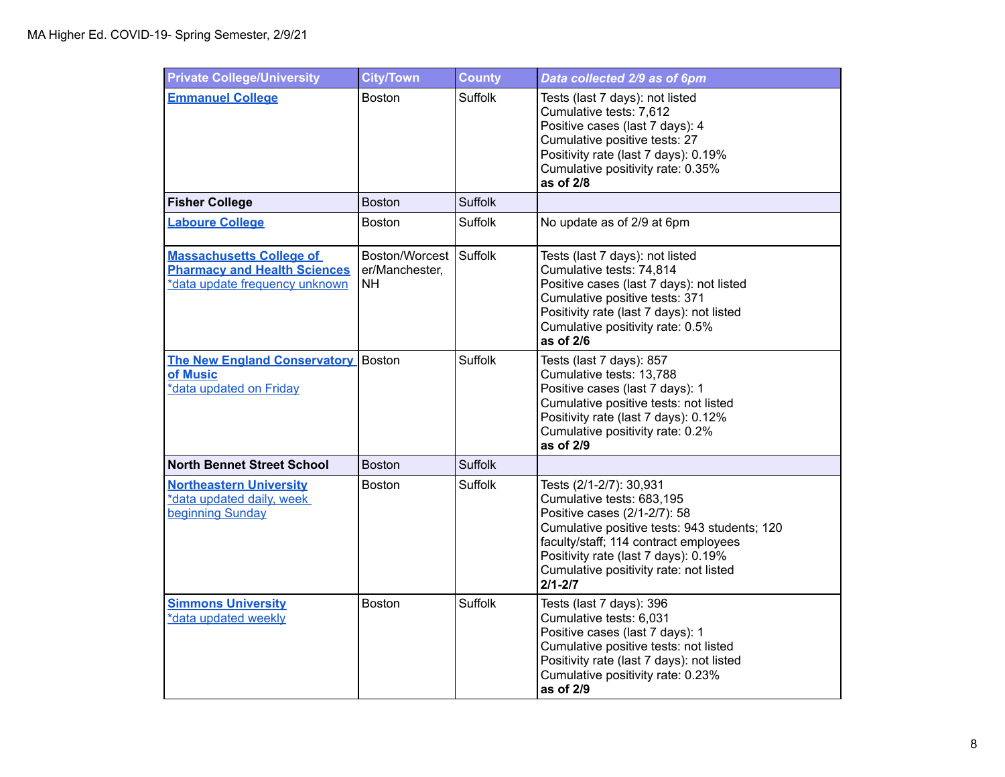| <b>Private College/University</b>                                                                        | <b>City/Town</b>                        | <b>County</b>  | Data collected 2/9 as of 6pm                                                                                                                                                                                                                                                   |
|----------------------------------------------------------------------------------------------------------|-----------------------------------------|----------------|--------------------------------------------------------------------------------------------------------------------------------------------------------------------------------------------------------------------------------------------------------------------------------|
| <b>Emmanuel College</b>                                                                                  | <b>Boston</b>                           | <b>Suffolk</b> | Tests (last 7 days): not listed<br>Cumulative tests: 7,612<br>Positive cases (last 7 days): 4<br>Cumulative positive tests: 27<br>Positivity rate (last 7 days): 0.19%<br>Cumulative positivity rate: 0.35%<br>as of 2/8                                                       |
| <b>Fisher College</b>                                                                                    | <b>Boston</b>                           | <b>Suffolk</b> |                                                                                                                                                                                                                                                                                |
| <b>Laboure College</b>                                                                                   | <b>Boston</b>                           | Suffolk        | No update as of 2/9 at 6pm                                                                                                                                                                                                                                                     |
| <b>Massachusetts College of</b><br><b>Pharmacy and Health Sciences</b><br>*data update frequency unknown | Boston/Worcest<br>er/Manchester,<br>NH. | <b>Suffolk</b> | Tests (last 7 days): not listed<br>Cumulative tests: 74,814<br>Positive cases (last 7 days): not listed<br>Cumulative positive tests: 371<br>Positivity rate (last 7 days): not listed<br>Cumulative positivity rate: 0.5%<br>as of 2/6                                        |
| <b>The New England Conservatory Boston</b><br>of Music<br>*data updated on Friday                        |                                         | <b>Suffolk</b> | Tests (last 7 days): 857<br>Cumulative tests: 13,788<br>Positive cases (last 7 days): 1<br>Cumulative positive tests: not listed<br>Positivity rate (last 7 days): 0.12%<br>Cumulative positivity rate: 0.2%<br>as of 2/9                                                      |
| <b>North Bennet Street School</b>                                                                        | <b>Boston</b>                           | <b>Suffolk</b> |                                                                                                                                                                                                                                                                                |
| <b>Northeastern University</b><br>*data updated daily, week<br>beginning Sunday                          | <b>Boston</b>                           | <b>Suffolk</b> | Tests (2/1-2/7): 30,931<br>Cumulative tests: 683,195<br>Positive cases (2/1-2/7): 58<br>Cumulative positive tests: 943 students; 120<br>faculty/staff; 114 contract employees<br>Positivity rate (last 7 days): 0.19%<br>Cumulative positivity rate: not listed<br>$2/1 - 2/7$ |
| <b>Simmons University</b><br>*data updated weekly                                                        | <b>Boston</b>                           | <b>Suffolk</b> | Tests (last 7 days): 396<br>Cumulative tests: 6,031<br>Positive cases (last 7 days): 1<br>Cumulative positive tests: not listed<br>Positivity rate (last 7 days): not listed<br>Cumulative positivity rate: 0.23%<br>as of 2/9                                                 |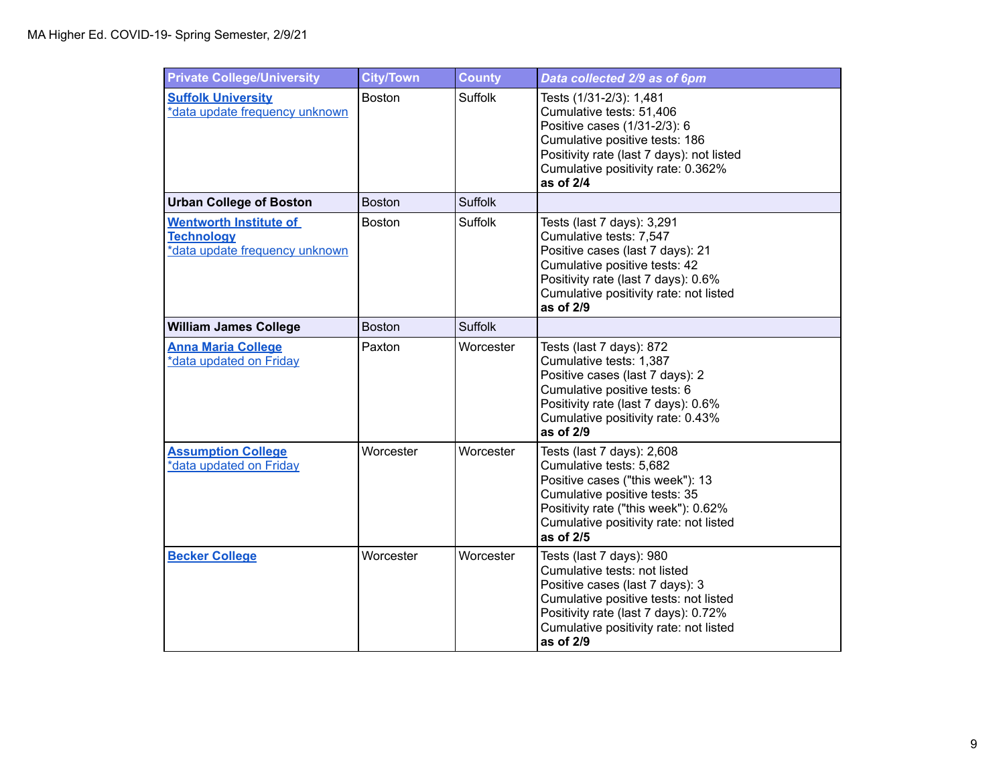| <b>Private College/University</b>                                                    | <b>City/Town</b> | <b>County</b>  | Data collected 2/9 as of 6pm                                                                                                                                                                                                        |
|--------------------------------------------------------------------------------------|------------------|----------------|-------------------------------------------------------------------------------------------------------------------------------------------------------------------------------------------------------------------------------------|
| <b>Suffolk University</b><br>*data update frequency unknown                          | <b>Boston</b>    | <b>Suffolk</b> | Tests (1/31-2/3): 1,481<br>Cumulative tests: 51,406<br>Positive cases (1/31-2/3): 6<br>Cumulative positive tests: 186<br>Positivity rate (last 7 days): not listed<br>Cumulative positivity rate: 0.362%<br>as of 2/4               |
| <b>Urban College of Boston</b>                                                       | <b>Boston</b>    | <b>Suffolk</b> |                                                                                                                                                                                                                                     |
| <b>Wentworth Institute of</b><br><b>Technology</b><br>*data update frequency unknown | <b>Boston</b>    | Suffolk        | Tests (last 7 days): 3,291<br>Cumulative tests: 7,547<br>Positive cases (last 7 days): 21<br>Cumulative positive tests: 42<br>Positivity rate (last 7 days): 0.6%<br>Cumulative positivity rate: not listed<br>as of 2/9            |
| <b>William James College</b>                                                         | <b>Boston</b>    | <b>Suffolk</b> |                                                                                                                                                                                                                                     |
| <b>Anna Maria College</b><br>*data updated on Friday                                 | Paxton           | Worcester      | Tests (last 7 days): 872<br>Cumulative tests: 1,387<br>Positive cases (last 7 days): 2<br>Cumulative positive tests: 6<br>Positivity rate (last 7 days): 0.6%<br>Cumulative positivity rate: 0.43%<br>as of 2/9                     |
| <b>Assumption College</b><br>*data updated on Friday                                 | Worcester        | Worcester      | Tests (last 7 days): 2,608<br>Cumulative tests: 5,682<br>Positive cases ("this week"): 13<br>Cumulative positive tests: 35<br>Positivity rate ("this week"): 0.62%<br>Cumulative positivity rate: not listed<br>as of 2/5           |
| <b>Becker College</b>                                                                | Worcester        | Worcester      | Tests (last 7 days): 980<br>Cumulative tests: not listed<br>Positive cases (last 7 days): 3<br>Cumulative positive tests: not listed<br>Positivity rate (last 7 days): 0.72%<br>Cumulative positivity rate: not listed<br>as of 2/9 |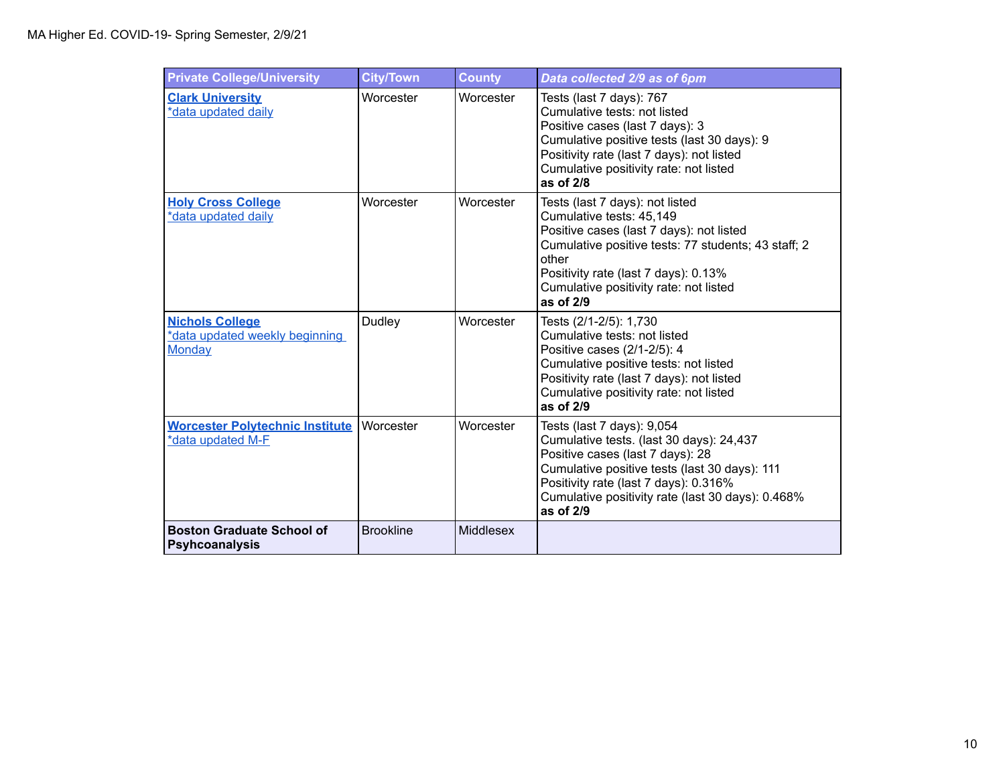| <b>Private College/University</b>                                         | <b>City/Town</b> | <b>County</b>    | Data collected 2/9 as of 6pm                                                                                                                                                                                                                                             |
|---------------------------------------------------------------------------|------------------|------------------|--------------------------------------------------------------------------------------------------------------------------------------------------------------------------------------------------------------------------------------------------------------------------|
| <b>Clark University</b><br>*data updated daily                            | Worcester        | Worcester        | Tests (last 7 days): 767<br>Cumulative tests: not listed<br>Positive cases (last 7 days): 3<br>Cumulative positive tests (last 30 days): 9<br>Positivity rate (last 7 days): not listed<br>Cumulative positivity rate: not listed<br>as of 2/8                           |
| <b>Holy Cross College</b><br>*data updated daily                          | Worcester        | Worcester        | Tests (last 7 days): not listed<br>Cumulative tests: 45,149<br>Positive cases (last 7 days): not listed<br>Cumulative positive tests: 77 students; 43 staff; 2<br>other<br>Positivity rate (last 7 days): 0.13%<br>Cumulative positivity rate: not listed<br>as of $2/9$ |
| <b>Nichols College</b><br>*data updated weekly beginning<br><b>Monday</b> | Dudley           | Worcester        | Tests (2/1-2/5): 1,730<br>Cumulative tests: not listed<br>Positive cases (2/1-2/5): 4<br>Cumulative positive tests: not listed<br>Positivity rate (last 7 days): not listed<br>Cumulative positivity rate: not listed<br>as of $2/9$                                     |
| <b>Worcester Polytechnic Institute</b><br>*data updated M-F               | Worcester        | Worcester        | Tests (last 7 days): 9,054<br>Cumulative tests. (last 30 days): 24,437<br>Positive cases (last 7 days): 28<br>Cumulative positive tests (last 30 days): 111<br>Positivity rate (last 7 days): 0.316%<br>Cumulative positivity rate (last 30 days): 0.468%<br>as of 2/9   |
| <b>Boston Graduate School of</b><br><b>Psyhcoanalysis</b>                 | <b>Brookline</b> | <b>Middlesex</b> |                                                                                                                                                                                                                                                                          |